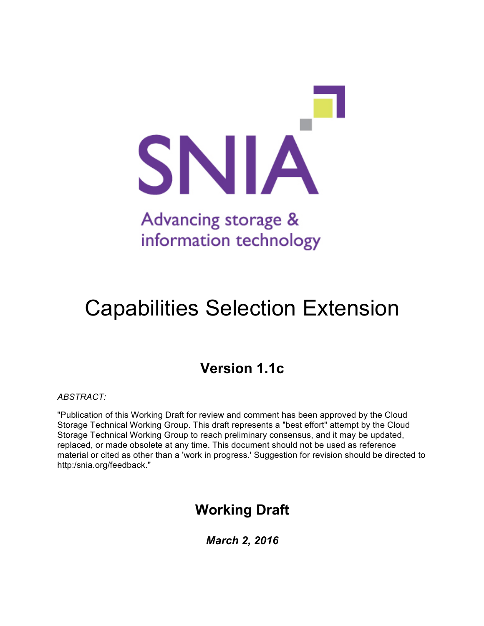

# Capabilities Selection Extension

# **Version 1.1c**

*ABSTRACT:*

"Publication of this Working Draft for review and comment has been approved by the Cloud Storage Technical Working Group. This draft represents a "best effort" attempt by the Cloud Storage Technical Working Group to reach preliminary consensus, and it may be updated, replaced, or made obsolete at any time. This document should not be used as reference material or cited as other than a 'work in progress.' Suggestion for revision should be directed to http:/snia.org/feedback."

# **Working Draft**

*March 2, 2016*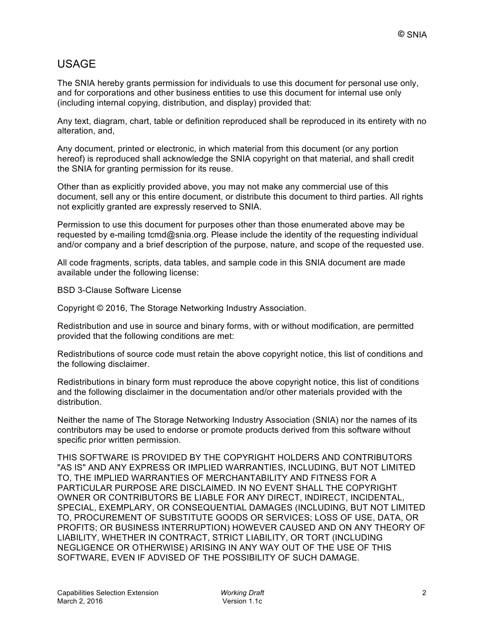# USAGE

The SNIA hereby grants permission for individuals to use this document for personal use only, and for corporations and other business entities to use this document for internal use only (including internal copying, distribution, and display) provided that:

Any text, diagram, chart, table or definition reproduced shall be reproduced in its entirety with no alteration, and,

Any document, printed or electronic, in which material from this document (or any portion hereof) is reproduced shall acknowledge the SNIA copyright on that material, and shall credit the SNIA for granting permission for its reuse.

Other than as explicitly provided above, you may not make any commercial use of this document, sell any or this entire document, or distribute this document to third parties. All rights not explicitly granted are expressly reserved to SNIA.

Permission to use this document for purposes other than those enumerated above may be requested by e-mailing tcmd@snia.org. Please include the identity of the requesting individual and/or company and a brief description of the purpose, nature, and scope of the requested use.

All code fragments, scripts, data tables, and sample code in this SNIA document are made available under the following license:

BSD 3-Clause Software License

Copyright © 2016, The Storage Networking Industry Association.

Redistribution and use in source and binary forms, with or without modification, are permitted provided that the following conditions are met:

Redistributions of source code must retain the above copyright notice, this list of conditions and the following disclaimer.

Redistributions in binary form must reproduce the above copyright notice, this list of conditions and the following disclaimer in the documentation and/or other materials provided with the distribution.

Neither the name of The Storage Networking Industry Association (SNIA) nor the names of its contributors may be used to endorse or promote products derived from this software without specific prior written permission.

THIS SOFTWARE IS PROVIDED BY THE COPYRIGHT HOLDERS AND CONTRIBUTORS "AS IS" AND ANY EXPRESS OR IMPLIED WARRANTIES, INCLUDING, BUT NOT LIMITED TO, THE IMPLIED WARRANTIES OF MERCHANTABILITY AND FITNESS FOR A PARTICULAR PURPOSE ARE DISCLAIMED. IN NO EVENT SHALL THE COPYRIGHT OWNER OR CONTRIBUTORS BE LIABLE FOR ANY DIRECT, INDIRECT, INCIDENTAL, SPECIAL, EXEMPLARY, OR CONSEQUENTIAL DAMAGES (INCLUDING, BUT NOT LIMITED TO, PROCUREMENT OF SUBSTITUTE GOODS OR SERVICES; LOSS OF USE, DATA, OR PROFITS; OR BUSINESS INTERRUPTION) HOWEVER CAUSED AND ON ANY THEORY OF LIABILITY, WHETHER IN CONTRACT, STRICT LIABILITY, OR TORT (INCLUDING NEGLIGENCE OR OTHERWISE) ARISING IN ANY WAY OUT OF THE USE OF THIS SOFTWARE, EVEN IF ADVISED OF THE POSSIBILITY OF SUCH DAMAGE.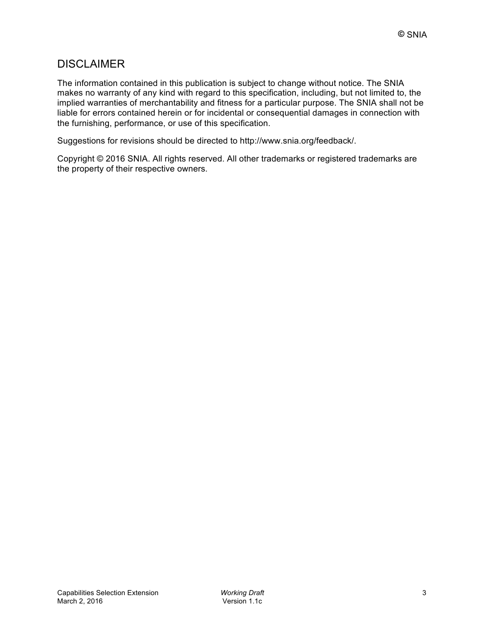# **DISCLAIMER**

The information contained in this publication is subject to change without notice. The SNIA makes no warranty of any kind with regard to this specification, including, but not limited to, the implied warranties of merchantability and fitness for a particular purpose. The SNIA shall not be liable for errors contained herein or for incidental or consequential damages in connection with the furnishing, performance, or use of this specification.

Suggestions for revisions should be directed to http://www.snia.org/feedback/.

Copyright © 2016 SNIA. All rights reserved. All other trademarks or registered trademarks are the property of their respective owners.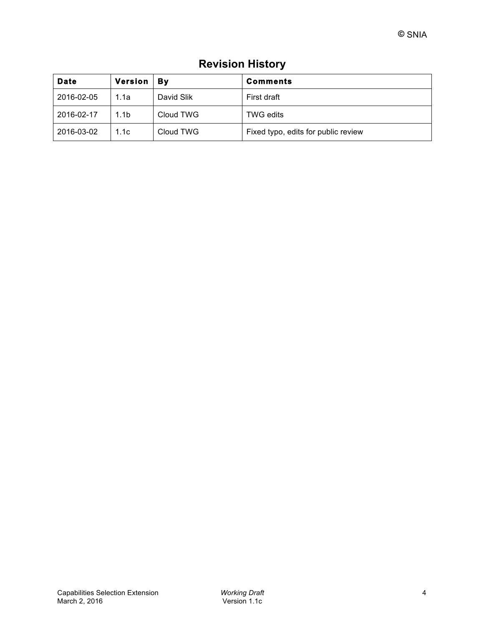| <b>Date</b> | <b>Version</b>   | Βv         | <b>Comments</b>                     |
|-------------|------------------|------------|-------------------------------------|
| 2016-02-05  | 1.1a             | David Slik | First draft                         |
| 2016-02-17  | 1.1 <sub>b</sub> | Cloud TWG  | <b>TWG edits</b>                    |
| 2016-03-02  | 1.1c             | Cloud TWG  | Fixed typo, edits for public review |

# **Revision History**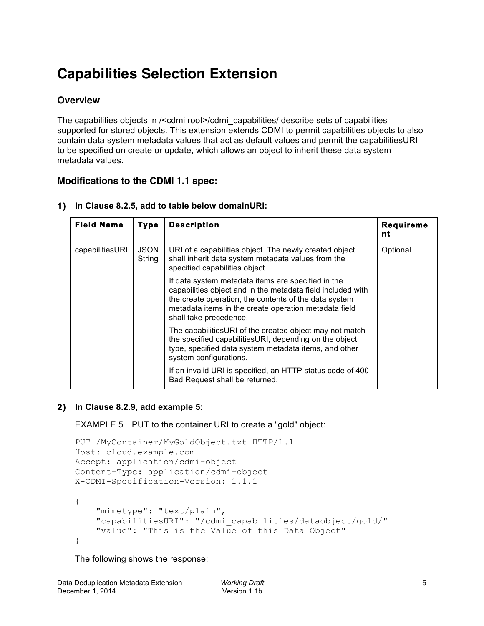# **Capabilities Selection Extension**

# **Overview**

The capabilities objects in /<cdmi root>/cdmi\_capabilities/ describe sets of capabilities supported for stored objects. This extension extends CDMI to permit capabilities objects to also contain data system metadata values that act as default values and permit the capabilitiesURI to be specified on create or update, which allows an object to inherit these data system metadata values.

# **Modifications to the CDMI 1.1 spec:**

| <b>Field Name</b> | <b>Type</b>           | <b>Description</b>                                                                                                                                                                                                                                            | <b>Requireme</b><br>nt |
|-------------------|-----------------------|---------------------------------------------------------------------------------------------------------------------------------------------------------------------------------------------------------------------------------------------------------------|------------------------|
| capabilitiesURI   | <b>JSON</b><br>String | URI of a capabilities object. The newly created object<br>shall inherit data system metadata values from the<br>specified capabilities object.                                                                                                                | Optional               |
|                   |                       | If data system metadata items are specified in the<br>capabilities object and in the metadata field included with<br>the create operation, the contents of the data system<br>metadata items in the create operation metadata field<br>shall take precedence. |                        |
|                   |                       | The capabilities URI of the created object may not match<br>the specified capabilitiesURI, depending on the object<br>type, specified data system metadata items, and other<br>system configurations.                                                         |                        |
|                   |                       | If an invalid URI is specified, an HTTP status code of 400<br>Bad Request shall be returned.                                                                                                                                                                  |                        |

**1) In Clause 8.2.5, add to table below domainURI:**

# **2) In Clause 8.2.9, add example 5:**

EXAMPLE 5 PUT to the container URI to create a "gold" object:

```
PUT /MyContainer/MyGoldObject.txt HTTP/1.1
Host: cloud.example.com
Accept: application/cdmi-object
Content-Type: application/cdmi-object
X-CDMI-Specification-Version: 1.1.1
{
     "mimetype": "text/plain",
     "capabilitiesURI": "/cdmi_capabilities/dataobject/gold/"
     "value": "This is the Value of this Data Object"
}
```
The following shows the response: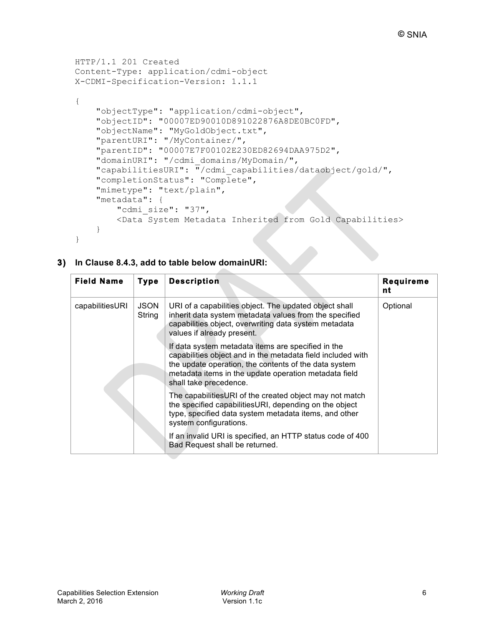```
HTTP/1.1 201 Created
Content-Type: application/cdmi-object
X-CDMI-Specification-Version: 1.1.1
{
     "objectType": "application/cdmi-object",
     "objectID": "00007ED90010D891022876A8DE0BC0FD",
     "objectName": "MyGoldObject.txt",
     "parentURI": "/MyContainer/",
     "parentID": "00007E7F00102E230ED82694DAA975D2",
     "domainURI": "/cdmi_domains/MyDomain/",
     "capabilitiesURI": "/cdmi_capabilities/dataobject/gold/",
     "completionStatus": "Complete",
     "mimetype": "text/plain",
     "metadata": {
        "cdmi size": "37",
         <Data System Metadata Inherited from Gold Capabilities>
     }
}
```
### **3) In Clause 8.4.3, add to table below domainURI:**

| <b>Field Name</b> | <b>Type</b>           | <b>Description</b>                                                                                                                                                                                                                                            | <b>Requireme</b><br>nt |
|-------------------|-----------------------|---------------------------------------------------------------------------------------------------------------------------------------------------------------------------------------------------------------------------------------------------------------|------------------------|
| capabilitiesURI   | <b>JSON</b><br>String | URI of a capabilities object. The updated object shall<br>inherit data system metadata values from the specified<br>capabilities object, overwriting data system metadata<br>values if already present.                                                       | Optional               |
|                   |                       | If data system metadata items are specified in the<br>capabilities object and in the metadata field included with<br>the update operation, the contents of the data system<br>metadata items in the update operation metadata field<br>shall take precedence. |                        |
|                   |                       | The capabilitiesURI of the created object may not match<br>the specified capabilitiesURI, depending on the object<br>type, specified data system metadata items, and other<br>system configurations.                                                          |                        |
|                   |                       | If an invalid URI is specified, an HTTP status code of 400<br>Bad Request shall be returned.                                                                                                                                                                  |                        |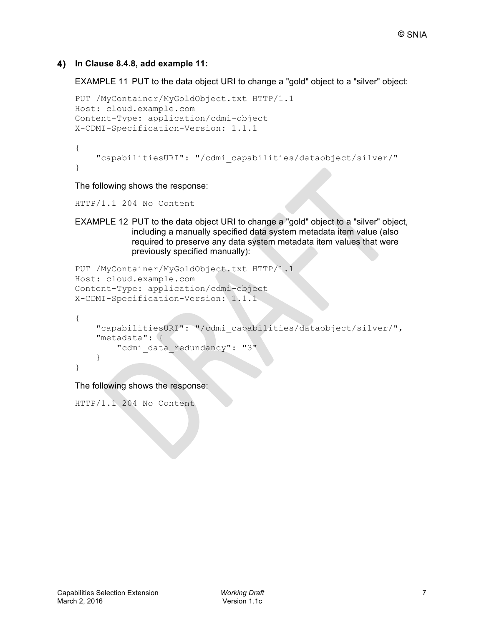## **4) In Clause 8.4.8, add example 11:**

EXAMPLE 11 PUT to the data object URI to change a "gold" object to a "silver" object:

```
PUT /MyContainer/MyGoldObject.txt HTTP/1.1
Host: cloud.example.com
Content-Type: application/cdmi-object
X-CDMI-Specification-Version: 1.1.1
{
     "capabilitiesURI": "/cdmi_capabilities/dataobject/silver/"
}
```
The following shows the response:

HTTP/1.1 204 No Content

EXAMPLE 12 PUT to the data object URI to change a "gold" object to a "silver" object, including a manually specified data system metadata item value (also required to preserve any data system metadata item values that were previously specified manually):

```
PUT /MyContainer/MyGoldObject.txt HTTP/1.1
Host: cloud.example.com
Content-Type: application/cdmi-object
X-CDMI-Specification-Version: 1.1.1
{
```

```
 "capabilitiesURI": "/cdmi_capabilities/dataobject/silver/",
     "metadata": {
        "cdmi data redundancy": "3"
     }
}
```
The following shows the response:

```
HTTP/1.1 204 No Content
```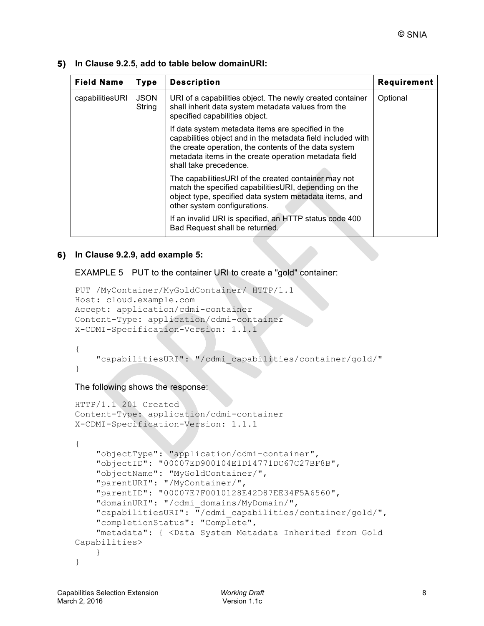| <b>Field Name</b> | <b>Type</b>           | <b>Description</b>                                                                                                                                                                                                                                            | <b>Requirement</b> |
|-------------------|-----------------------|---------------------------------------------------------------------------------------------------------------------------------------------------------------------------------------------------------------------------------------------------------------|--------------------|
| capabilitiesURI   | <b>JSON</b><br>String | URI of a capabilities object. The newly created container<br>shall inherit data system metadata values from the<br>specified capabilities object.                                                                                                             | Optional           |
|                   |                       | If data system metadata items are specified in the<br>capabilities object and in the metadata field included with<br>the create operation, the contents of the data system<br>metadata items in the create operation metadata field<br>shall take precedence. |                    |
|                   |                       | The capabilitiesURI of the created container may not<br>match the specified capabilities URI, depending on the<br>object type, specified data system metadata items, and<br>other system configurations.                                                      |                    |
|                   |                       | If an invalid URI is specified, an HTTP status code 400<br>Bad Request shall be returned.                                                                                                                                                                     |                    |

**5) In Clause 9.2.5, add to table below domainURI:**

### **6) In Clause 9.2.9, add example 5:**

EXAMPLE 5 PUT to the container URI to create a "gold" container:

```
PUT /MyContainer/MyGoldContainer/ HTTP/1.1
Host: cloud.example.com
Accept: application/cdmi-container
Content-Type: application/cdmi-container
X-CDMI-Specification-Version: 1.1.1
```
# {

"capabilitiesURI": "/cdmi\_capabilities/container/gold/"

# }

The following shows the response:

```
HTTP/1.1 201 Created
Content-Type: application/cdmi-container
X-CDMI-Specification-Version: 1.1.1
{
     "objectType": "application/cdmi-container",
     "objectID": "00007ED900104E1D14771DC67C27BF8B",
     "objectName": "MyGoldContainer/",
     "parentURI": "/MyContainer/",
     "parentID": "00007E7F0010128E42D87EE34F5A6560",
     "domainURI": "/cdmi_domains/MyDomain/",
     "capabilitiesURI": "/cdmi_capabilities/container/gold/",
     "completionStatus": "Complete",
     "metadata": { <Data System Metadata Inherited from Gold 
Capabilities>
     }
}
```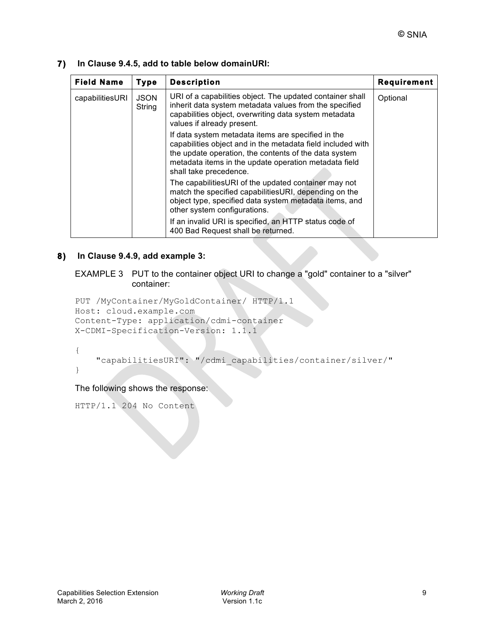| <b>Field Name</b> | <b>Type</b>           | <b>Description</b>                                                                                                                                                                                                                                            | <b>Requirement</b> |
|-------------------|-----------------------|---------------------------------------------------------------------------------------------------------------------------------------------------------------------------------------------------------------------------------------------------------------|--------------------|
| capabilitiesURI   | <b>JSON</b><br>String | URI of a capabilities object. The updated container shall<br>inherit data system metadata values from the specified<br>capabilities object, overwriting data system metadata<br>values if already present.                                                    | Optional           |
|                   |                       | If data system metadata items are specified in the<br>capabilities object and in the metadata field included with<br>the update operation, the contents of the data system<br>metadata items in the update operation metadata field<br>shall take precedence. |                    |
|                   |                       | The capabilitiesURI of the updated container may not<br>match the specified capabilitiesURI, depending on the<br>object type, specified data system metadata items, and<br>other system configurations.                                                       |                    |
|                   |                       | If an invalid URI is specified, an HTTP status code of<br>400 Bad Request shall be returned.                                                                                                                                                                  |                    |

#### **7) In Clause 9.4.5, add to table below domainURI:**

### **8) In Clause 9.4.9, add example 3:**

EXAMPLE 3 PUT to the container object URI to change a "gold" container to a "silver" container:

```
PUT /MyContainer/MyGoldContainer/ HTTP/1.1
Host: cloud.example.com
Content-Type: application/cdmi-container
X-CDMI-Specification-Version: 1.1.1
```
{

"capabilitiesURI": "/cdmi\_capabilities/container/silver/"

}

The following shows the response:

HTTP/1.1 204 No Content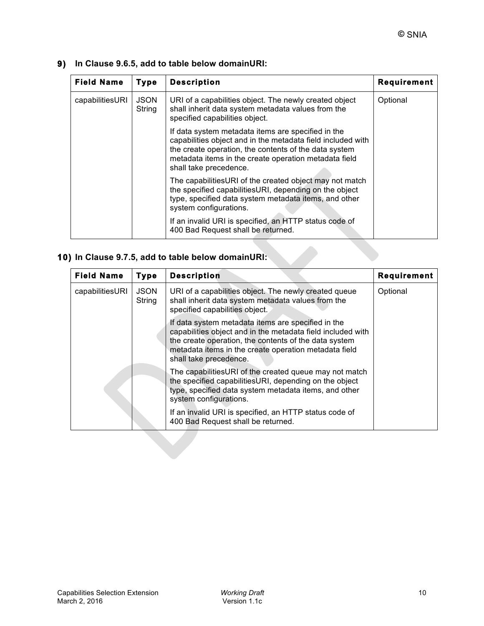| <b>Field Name</b> | <b>Type</b>           | <b>Description</b>                                                                                                                                                                                                                                            | <b>Requirement</b> |
|-------------------|-----------------------|---------------------------------------------------------------------------------------------------------------------------------------------------------------------------------------------------------------------------------------------------------------|--------------------|
| capabilitiesURI   | <b>JSON</b><br>String | URI of a capabilities object. The newly created object<br>shall inherit data system metadata values from the<br>specified capabilities object.                                                                                                                | Optional           |
|                   |                       | If data system metadata items are specified in the<br>capabilities object and in the metadata field included with<br>the create operation, the contents of the data system<br>metadata items in the create operation metadata field<br>shall take precedence. |                    |
|                   |                       | The capabilities URI of the created object may not match<br>the specified capabilities URI, depending on the object<br>type, specified data system metadata items, and other<br>system configurations.                                                        |                    |
|                   |                       | If an invalid URI is specified, an HTTP status code of<br>400 Bad Request shall be returned.                                                                                                                                                                  |                    |

## **9) In Clause 9.6.5, add to table below domainURI:**

# **10) In Clause 9.7.5, add to table below domainURI:**

| <b>Field Name</b> | <b>Type</b>           | <b>Description</b>                                                                                                                                                                                                                                            | <b>Requirement</b> |
|-------------------|-----------------------|---------------------------------------------------------------------------------------------------------------------------------------------------------------------------------------------------------------------------------------------------------------|--------------------|
| capabilitiesURI   | <b>JSON</b><br>String | URI of a capabilities object. The newly created queue<br>shall inherit data system metadata values from the<br>specified capabilities object.                                                                                                                 | Optional           |
|                   |                       | If data system metadata items are specified in the<br>capabilities object and in the metadata field included with<br>the create operation, the contents of the data system<br>metadata items in the create operation metadata field<br>shall take precedence. |                    |
|                   |                       | The capabilitiesURI of the created queue may not match<br>the specified capabilities URI, depending on the object<br>type, specified data system metadata items, and other<br>system configurations.                                                          |                    |
|                   |                       | If an invalid URI is specified, an HTTP status code of<br>400 Bad Request shall be returned.                                                                                                                                                                  |                    |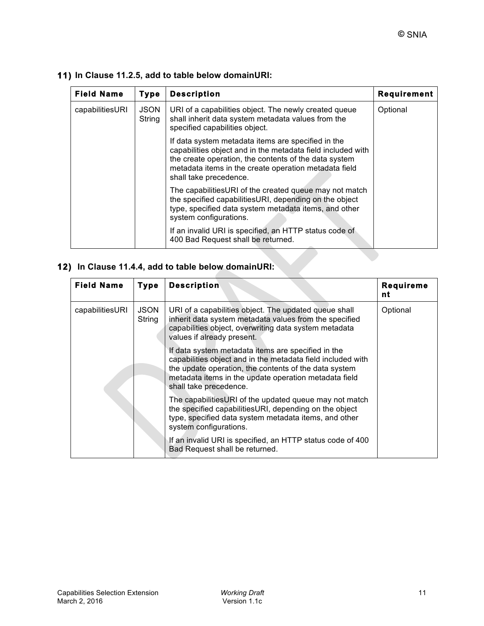| <b>Field Name</b> | <b>Type</b>           | <b>Description</b>                                                                                                                                                                                                                                            | <b>Requirement</b> |
|-------------------|-----------------------|---------------------------------------------------------------------------------------------------------------------------------------------------------------------------------------------------------------------------------------------------------------|--------------------|
| capabilitiesURI   | <b>JSON</b><br>String | URI of a capabilities object. The newly created queue<br>shall inherit data system metadata values from the<br>specified capabilities object.                                                                                                                 | Optional           |
|                   |                       | If data system metadata items are specified in the<br>capabilities object and in the metadata field included with<br>the create operation, the contents of the data system<br>metadata items in the create operation metadata field<br>shall take precedence. |                    |
|                   |                       | The capabilitiesURI of the created queue may not match<br>the specified capabilitiesURI, depending on the object<br>type, specified data system metadata items, and other<br>system configurations.                                                           |                    |
|                   |                       | If an invalid URI is specified, an HTTP status code of<br>400 Bad Request shall be returned.                                                                                                                                                                  |                    |

# **11) In Clause 11.2.5, add to table below domainURI:**

# **12) In Clause 11.4.4, add to table below domainURI:**

| <b>Field Name</b> | <b>Type</b>           | <b>Description</b>                                                                                                                                                                                                                                            | <b>Requireme</b><br>nt |
|-------------------|-----------------------|---------------------------------------------------------------------------------------------------------------------------------------------------------------------------------------------------------------------------------------------------------------|------------------------|
| capabilitiesURI   | <b>JSON</b><br>String | URI of a capabilities object. The updated queue shall<br>inherit data system metadata values from the specified<br>capabilities object, overwriting data system metadata<br>values if already present.                                                        | Optional               |
|                   |                       | If data system metadata items are specified in the<br>capabilities object and in the metadata field included with<br>the update operation, the contents of the data system<br>metadata items in the update operation metadata field<br>shall take precedence. |                        |
|                   |                       | The capabilities URI of the updated queue may not match<br>the specified capabilities URI, depending on the object<br>type, specified data system metadata items, and other<br>system configurations.                                                         |                        |
|                   |                       | If an invalid URI is specified, an HTTP status code of 400<br>Bad Request shall be returned.                                                                                                                                                                  |                        |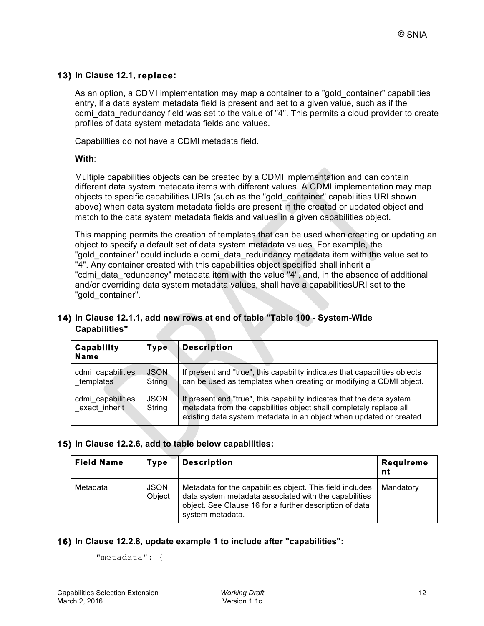## **13) In Clause 12.1, replace:**

As an option, a CDMI implementation may map a container to a "gold\_container" capabilities entry, if a data system metadata field is present and set to a given value, such as if the cdmi\_data\_redundancy field was set to the value of "4". This permits a cloud provider to create profiles of data system metadata fields and values.

Capabilities do not have a CDMI metadata field.

#### **With**:

Multiple capabilities objects can be created by a CDMI implementation and can contain different data system metadata items with different values. A CDMI implementation may map objects to specific capabilities URIs (such as the "gold\_container" capabilities URI shown above) when data system metadata fields are present in the created or updated object and match to the data system metadata fields and values in a given capabilities object.

This mapping permits the creation of templates that can be used when creating or updating an object to specify a default set of data system metadata values. For example, the "gold\_container" could include a cdmi\_data\_redundancy metadata item with the value set to "4". Any container created with this capabilities object specified shall inherit a "cdmi\_data\_redundancy" metadata item with the value "4", and, in the absence of additional and/or overriding data system metadata values, shall have a capabilitiesURI set to the "gold\_container".

### **14) In Clause 12.1.1, add new rows at end of table "Table 100 - System-Wide Capabilities"**

| <b>Capability</b><br><b>Name</b>   | <b>Type</b>           | <b>Description</b>                                                                                                                                                                                                 |
|------------------------------------|-----------------------|--------------------------------------------------------------------------------------------------------------------------------------------------------------------------------------------------------------------|
| cdmi capabilities<br>templates     | <b>JSON</b><br>String | If present and "true", this capability indicates that capabilities objects<br>can be used as templates when creating or modifying a CDMI object.                                                                   |
| cdmi_capabilities<br>exact inherit | <b>JSON</b><br>String | If present and "true", this capability indicates that the data system<br>metadata from the capabilities object shall completely replace all<br>existing data system metadata in an object when updated or created. |

#### **15) In Clause 12.2.6, add to table below capabilities:**

| <b>Field Name</b> | <b>Type</b>           | <b>Description</b>                                                                                                                                                                                | <b>Requireme</b><br>nt. |
|-------------------|-----------------------|---------------------------------------------------------------------------------------------------------------------------------------------------------------------------------------------------|-------------------------|
| Metadata          | <b>JSON</b><br>Object | Metadata for the capabilities object. This field includes<br>data system metadata associated with the capabilities<br>object. See Clause 16 for a further description of data<br>system metadata. | Mandatory               |

### **16) In Clause 12.2.8, update example 1 to include after "capabilities":**

"metadata": {